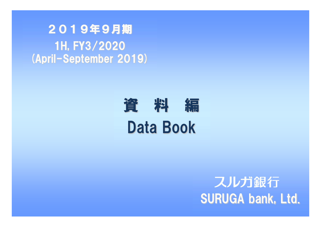2019年9月期1H, FY3/2020(April-September 2019)

# 資 料 編 Data Book

# スルガ銀行 SURUGA bank, Ltd.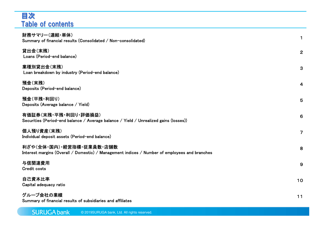# 目次Table of contents

| 財務サマリー(連結・単体)<br>Summary of financial results (Consolidated / Non-consolidated)                                           | $\mathbf 1$    |
|---------------------------------------------------------------------------------------------------------------------------|----------------|
| 貸出金(末残)<br>Loans (Period-end balance)                                                                                     | $\mathbf{2}$   |
| 業種別貸出金(末残)<br>Loan breakdown by industry (Period-end balance)                                                             | 3              |
| 預金(末残)<br>Deposits (Period-end balance)                                                                                   | $\overline{4}$ |
| 預金(平残・利回り)<br>Deposits (Average balance / Yield)                                                                          | $5\phantom{1}$ |
| 有価証券(末残・平残・利回り・評価損益)<br>Securities (Period-end balance / Average balance / Yield / Unrealized gains (losses))             | 6              |
| 個人預り資産(末残)<br>Individual deposit assets (Period-end balance)                                                              | $\overline{7}$ |
| 利ざや(全体・国内)・経営指標・従業員数・店舗数<br>Interest margins (Overall / Domestic) / Management indices / Number of employees and branches | 8              |
| 与信関連費用<br><b>Credit costs</b>                                                                                             | 9              |
| 自己資本比率<br>Capital adequacy ratio                                                                                          | 10             |
| グループ会社の業績                                                                                                                 | $11$           |

Summary of financial results of subsidiaries and affiliates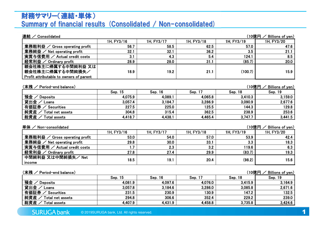## 財務サマリー(連結・単体)Summary of financial results (Consolidated / Non-consolidated)

| 連結 / Consolidated                       |            |            |            |            | $(10$ 億円 $\angle$ Billions of yen) |
|-----------------------------------------|------------|------------|------------|------------|------------------------------------|
|                                         | 1H, FY3/16 | 1H, FY3/17 | 1H, FY3/18 | 1H, FY3/19 | 1H, FY3/20                         |
| 業務粗利益 / Gross operating profit          | 56.7       | 58.5       | 62.5       | 57.0       | 47.6                               |
| 業務純益 / Net operating profit             | 32.1       | 32.1       | 36.2       | 3.5        | 21.1                               |
| 実質与信費用 / Actual credit costs            | 3.1        | 4.3        | 5.4        | 124.1      | 8.5                                |
| 経常利益 / Ordinary profit                  | 28.9       | 28.0       | 31.1       | (85.7)     | 20.0                               |
| 親会社株主に帰属する中間純利益 又は                      |            |            |            |            |                                    |
| 親会社株主に帰属する中間純損失/                        | 18.9       | 19.2       | 21.1       | (100.7)    | 15.9                               |
| Profit attributable to owners of parent |            |            |            |            |                                    |

### (末残 / Period-end balance)

 / Period-end balance) (10億円 / Billions of yen) Sep. 15 Sep. 16 Sep. 17 Sep. 18 Sep. 19 預金 / Deposits <u>金/ Deposits 4,075.9 4,089.1 4,065.8 3,410.3 3,159.0</u><br>出金/Loans 3,057.4 3,184.7 3,286.9 3,090.9 2,677.6 貸出金 / Loans 金/Loans 3,057.4 3,184.7 3,286.9 3,090.9 2,677.6<br>証券 / Securities 227.5 225.0 125.5 144.3 129.8 有価証券券/ Securities 227.5 225.0 125.5 144.3 129.8<br>/ Total net assets 304.8 315.4 362.5 238.9 253.6 純資産 / Total net assets 産/ Total net assets 304.8 315.4 362.5 238.9 253.6<br>産/ Total assets 4 418 7 4 438 1 4 465 4 3 747 7 3 441 5 総資産 / Total assets / Total assets 4,418.7 4,438.1 4,465.4 3,747.7 3,441.5

### 単体 / Non-consolidated

| 単体<br>$\angle$ Non-consolidated |                 |                   |            | ′10億円.     | Billions of yen) |
|---------------------------------|-----------------|-------------------|------------|------------|------------------|
|                                 | 1H, FY3/16      | 1H, FY3/17        | 1H, FY3/18 | 1H, FY3/19 | 1H, FY3/20       |
| 業務粗利益<br>Gross operating profit | 53.0            | 54.0              | 57.0       | 53.9       | 42.4             |
| 業務純益 /<br>Net operating profit  | 29.8            | 30.0 <sub>1</sub> | 33.1       | 3.3        | 18.3             |
| 実質与信費用 / Actual credit costs    | $\overline{.7}$ | 2.3               | 3.2        | 119.6      | 6.3              |
| 経常利益 /<br>Ordinary profit       | 27.8            | 27.4              | 29.9       | (83.7)     | 19.3             |
| 中間純利益 又は中間純損失/ Net              | 18.5            | 19.1              | 20.4       | (98.2)     | 15.6             |
| income                          |                 |                   |            |            |                  |

| (末残 /<br>Period-end balance) |         |         |         | (10億円   | Billions of yen) |
|------------------------------|---------|---------|---------|---------|------------------|
|                              | Sep. 15 | Sep. 16 | Sep. 17 | Sep. 18 | Sep. 19          |
| 預金<br><b>Deposits</b>        | 4,081.9 | 4,097.6 | 4,076.0 | 3,415.9 | 3,164.9          |
| 貸出金ノ<br>Loans                | 3,057.8 | 3,184.6 | 3,286.0 | 3,085.8 | 2,671.6          |
| 有価証券<br>Securities           | 231.5   | 230.9   | 130.9   | 147.2   | 132.5            |
| 純資産<br>Total net assets      | 294.8   | 306.6   | 352.4   | 229.2   | 239.0            |
| 総資産<br><b>Total assets</b>   | 4,407.9 | 4,431.9 | 4,458.8 | 3,735.8 | 3,424.6          |
|                              |         |         |         |         |                  |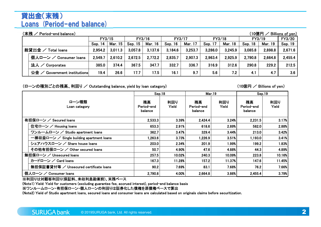# 貸出金(末残)Loans (Period-end balance)

| (末残 /<br>(10億円<br>Period-end balance)<br>Billions of yen)<br>FY3/20 |                                                                                                                          |         |         |         |         |         |         |         |         |         |         |         |  |  |  |
|---------------------------------------------------------------------|--------------------------------------------------------------------------------------------------------------------------|---------|---------|---------|---------|---------|---------|---------|---------|---------|---------|---------|--|--|--|
|                                                                     | FY3/16<br>FY3/18<br>FY3/15<br>FY3/17<br>FY3/19                                                                           |         |         |         |         |         |         |         |         |         |         |         |  |  |  |
|                                                                     | <b>Mar. 15</b><br>Mar. 16<br>Mar. 17<br><b>Mar. 18</b><br>Sep. 15<br>Sep. 17<br>Mar. 19<br>Sep. 18<br>Sep. 14<br>Sep. 16 |         |         |         |         |         |         |         |         |         |         |         |  |  |  |
|                                                                     | 総貸出金 /<br><b>Total loans</b>                                                                                             | 2,954.2 | 3,011.3 | 3,057.8 | 3,137.6 | 3.184.6 | 3,253.7 | 3,286.0 | 3,245.9 | 3,085.8 | 2,898.8 | 2,671.6 |  |  |  |
|                                                                     | 個人ローン / Consumer loans                                                                                                   | 2,549.7 | 2,610.2 | 2,672.5 | 2,772.2 | 2,835.7 | 2,907.3 | 2,963.4 | 2,925.9 | 2,790.8 | 2,664.8 | 2,455.4 |  |  |  |
|                                                                     | 法人 / Corporates                                                                                                          | 385.0   | 374.4   | 367.5   | 347.7   | 332.7   | 336.7   | 316.9   | 312.6   | 290.8   | 229.2   | 212.5   |  |  |  |
|                                                                     | 公金<br>Government institutions                                                                                            | 19.4    | 26.6    | 17.7    | 17.5    | 16.1    | 9.7     | 5.6     | 7.2     | 4.1     | 4.7     | 3.6     |  |  |  |

(ローンの種別ごとの残高、利回り / Outstanding balance, yield by loan category) (10億円 / Billions of yen)

|                                           | Sep.18                      |              | <b>Mar.19</b>               |              | Sep.19                      |              |
|-------------------------------------------|-----------------------------|--------------|-----------------------------|--------------|-----------------------------|--------------|
| ローン種類<br>Loan category                    | 残高<br>Period-end<br>balance | 利回り<br>Yield | 残高<br>Period-end<br>balance | 利回り<br>Yield | 残高<br>Period-end<br>balance | 利回り<br>Yield |
| 有担保ローン / Secured loans                    | 2,533.3                     | 3.39%        | 2,424.4                     | 3.24%        | 2,231.5                     | 3.17%        |
| 住宅ローン / Housing loans                     | 653.3                       | 2.91%        | 618.6                       | 2.89%        | 582.0                       | 2.88%        |
| ワンルームローン / Studio apartment loans         | 362.7                       | 3.47%        | 329.4                       | 3.44%        | 213.0                       | 3.42%        |
| 一棟収益ローン / Single building apartment loans | .263.6                      | 3.73%        | 1,226.9                     | 3.51%        | 1,193.0                     | 3.41%        |
| シェアハウスローン / Share house loans             | 203.0                       | 2.34%        | 201.9                       | 1.99%        | 199.2                       | 1.83%        |
| その他有担保ローン / Other secured loans           | 50.7                        | 4.90%        | 47.6                        | 4.88%        | 44.3                        | 4.89%        |
| 無担保ローン / Unsecured loans                  | 257.5                       | 10.02%       | 240.3                       | 10.09%       | 223.8                       | 10.16%       |
| カードローン / Card Ioans                       | 167.3                       | 11.28%       | 157.2                       | 11.37%       | 147.6                       | 11.45%       |
| 無担保証書貸付等 / Unsecured certificate loans    | 90.2                        | 7.69%        | 83.1                        | 7.68%        | 76.2                        | 7.66%        |
| 個人ローン / Consumer loans                    | 2,790.8                     | 4.00%        | 2,664.8                     | 3.86%        | 2,455.4                     | 3.79%        |
| ※利回りは対顧客利回り(保証料、未収利息勘案前)、末残ベース            |                             |              |                             |              |                             |              |

(Note1) Yield: Yield for customers (excluding guarantee fee, accrued interest), period-end balance basis

※ワンルームローン・有担保ローン・個人ローンの利回りは証券化した債権を原債権ベースで算出

(Note2) Yield of Studio apartment loans, secured loans and consumer loans are calculated based on originals claims before securitization.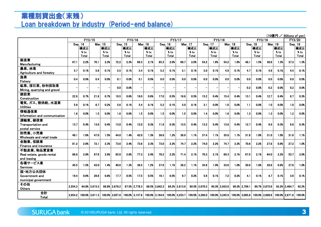# 業種別貸出金(末残)Loan breakdown by industry (Period-end balance)

|                               |         |        |                   |       |                   |         |                |       | (10億円 / Billions of yen) |         |                    |       |                   |                |                |         |                |       |                |       |                |        |
|-------------------------------|---------|--------|-------------------|-------|-------------------|---------|----------------|-------|--------------------------|---------|--------------------|-------|-------------------|----------------|----------------|---------|----------------|-------|----------------|-------|----------------|--------|
|                               |         | FY3/15 |                   |       |                   |         | FY3/16         |       |                          | FY3/17  |                    |       | FY3/18            |                |                |         | FY3/19         |       |                |       | FY3/20         |        |
|                               | Sep. 14 |        | <b>Mar. 15</b>    |       |                   | Sep. 15 | Mar. 16        |       |                          | Sep. 16 | Mar. 17<br>Sep. 17 |       |                   | <b>Mar. 18</b> |                | Sep. 18 |                |       | <b>Mar. 19</b> |       | Sep. 19        |        |
|                               |         | 構成比    |                   | 構成比   |                   | 構成比     |                | 構成比   |                          | 構成比     |                    | 構成比   |                   | 構成比            |                | 構成比     |                | 構成比   |                | 構成比   |                | 構成比    |
|                               |         | % to   |                   | % to  |                   | % to    |                | % to  |                          | % to    |                    | % to  |                   | % to           |                | % to    |                | % to  |                | % to  |                | % to   |
|                               |         | Total  |                   | Total |                   | Total   |                | Total |                          | Total   |                    | Total |                   | Total          |                | Total   |                | Total |                | Total |                | Total  |
| 製造業                           | 67.1    | 2.2%   | 70.1              | 2.3%  | 72.2              | 2.3%    | 66.3           | 2.1%  | 65.3                     | 2.0%    | 66.7               | 2.0%  | 54.2              | 1.6%           | 54.2           | 1.6%    | 48.1           | 1.5%  | 38.6           | 1.3%  | 37.3           | 1.3%   |
| Manufacturing                 |         |        |                   |       |                   |         |                |       |                          |         |                    |       |                   |                |                |         |                |       |                |       |                |        |
| 農業、林業                         | 5.7     | 0.1%   | 5.6               | 0.1%  | 5.5               | 0.1%    | 5.4            | 0.1%  | 5.2                      | 0.1%    | 5.1                | 0.1%  | 5.0               | 0.1%           | 4.9            | 0.1%    | 4.7            | 0.1%  | 4.6            | 0.1%  | 4.5            | 0.1%   |
| Agriculture and forestry      |         |        |                   |       |                   |         |                |       |                          |         |                    |       |                   |                |                |         |                |       |                |       |                |        |
| 漁業                            | 0.4     | 0.0%   | 0.4               | 0.0%  | 0.1               | 0.0%    | 0.1            | 0.0%  | 0.0                      | 0.0%    | 0.0                | 0.0%  | 0.0               | 0.0%           | 0.0            | 0.0%    | 0.0            | 0.0%  | 0.0            | 0.0%  | 0.0            | 0.0%   |
| Fisherv                       |         |        |                   |       |                   |         |                |       |                          |         |                    |       |                   |                |                |         |                |       |                |       |                |        |
| 鉱業、採石業、砂利採取業                  |         |        |                   |       | 0.0               | 0.0%    |                |       |                          |         |                    |       |                   |                |                |         | 0.2            | 0.0%  | 0.2            | 0.0%  | 0.2            | 0.0%   |
| Mining, quarrying and gravel  |         |        |                   |       |                   |         |                |       |                          |         |                    |       |                   |                |                |         |                |       |                |       |                |        |
| 建設業                           | 22.9    | 0.7%   | 21.8              | 0.7%  | 19.5              | 0.6%    | 19.0           | 0.6%  | 17.0                     | 0.5%    | 16.6               | 0.5%  | 15.2              | 0.4%           | 15.4           | 0.4%    | 13.1           | 0.4%  | 12.7           | 0.4%  | 8.7            | 0.3%   |
| Construction                  |         |        |                   |       |                   |         |                |       |                          |         |                    |       |                   |                |                |         |                |       |                |       |                |        |
| 電気、ガス、熱供給、水道業                 | 5.9     | 0.1%   | 6.7               | 0.2%  | 5.6               | 0.1%    | 5.4            | 0.1%  | 5.2                      | 0.1%    | 5.0                | 0.1%  | 3.1               | 0.0%           | 1.0            | 0.0%    | 1.1            | 0.0%  | 1.0            | 0.0%  | 1.0            | 0.0%   |
| <b>Utilities</b>              |         |        |                   |       |                   |         |                |       |                          |         |                    |       |                   |                |                |         |                |       |                |       |                |        |
| 情報通信業                         | 1.6     | 0.0%   | 1.5               | 0.0%  | 1.6               | 0.0%    | 1.5            | 0.0%  | 1.5                      | 0.0%    | 1.5                | 0.0%  | 1.4               | 0.0%           | 1.6            | 0.0%    | 1.3            | 0.0%  | $1.3$          | 0.0%  | 1.2            | 0.0%   |
| Information and communication |         |        |                   |       |                   |         |                |       |                          |         |                    |       |                   |                |                |         |                |       |                |       |                |        |
| 運輸業、郵便業                       |         |        |                   |       |                   |         |                |       |                          |         |                    |       |                   |                |                |         |                |       |                |       |                |        |
| Transportation and            | 13.7    | 0.4%   | 13.0              | 0.4%  | 13.0              | 0.4%    | 12.0           | 0.3%  | 11.9                     | 0.3%    | 13.5               | 0.4%  | 13.2              | 0.4%           | 13.8           | 0.4%    | 12.7           | 0.4%  | 9.9            | 0.3%  | 9.8            | 0.3%   |
| postal service                |         |        |                   |       |                   |         |                |       |                          |         |                    |       |                   |                |                |         |                |       |                |       |                |        |
| 卸売業、小売業                       | 49.1    | 1.6%   | 47.0              | 1.5%  | 44.0              | 1.4%    | 42.0           | 1.3%  | 38.8                     | 1.2%    | 38.9               | 1.1%  | 37.4              | 1.1%           | 35.8           | 1.1%    | 31.6           | 1.0%  | 31.0           | 1.0%  | 31.6           | 1.1%   |
| Wholesale and retail trade    |         |        |                   |       |                   |         |                |       |                          |         |                    |       |                   |                |                |         |                |       |                |       |                |        |
| 金融業、保険業                       | 81.2    | 2.6%   | 72.1              | 2.3%  | 73.6              | 2.4%    | 73.6           | 2.3%  | 73.0                     | 2.2%    | 74.7               | 2.2%  | 74.0              | 2.2%           | 74.7           | 2.3%    | 70.6           | 2.2%  | 27.8           | 0.9%  | 27.2           | 1.0%   |
| Finance and insurance         |         |        |                   |       |                   |         |                |       |                          |         |                    |       |                   |                |                |         |                |       |                |       |                |        |
| 不動産業、物品賃貸業                    |         |        |                   |       |                   |         |                |       |                          |         |                    |       |                   |                |                |         |                |       |                |       |                |        |
| Real estate, goods rental     | 86.8    | 2.8%   | 87.6              | 2.9%  | 85.8              | 2.8%    | 77.3           | 2.4%  | 70.2                     | 2.2%    | 71.4               | 2.1%  | 70.3              | 2.1%           | 69.3           | 2.1%    | 67.5           | 2.1%  | 64.0           | 2.2%  | 53.7           | 2.0%   |
| and leasing                   |         |        |                   |       |                   |         |                |       |                          |         |                    |       |                   |                |                |         |                |       |                |       |                |        |
| 各種サービス業                       | 45.5    | 1.5%   | 43.0              | 1.4%  | 40.6              | 1.3%    | 38.5           | 1.2%  | 37.6                     | 1.1%    | 36.2               | 1.1%  | 35.6              | 1.0%           | 33.6           | 1.0%    | 30.9           | 1.0%  | 28.8           | 0.9%  | 27.6           | 1.0%   |
| <b>Services</b>               |         |        |                   |       |                   |         |                |       |                          |         |                    |       |                   |                |                |         |                |       |                |       |                |        |
| 国·地方公共団体                      |         |        |                   |       |                   |         |                |       |                          |         |                    |       |                   |                |                |         |                |       |                |       |                |        |
| Government and                | 19.4    | 0.6%   | 26.6              | 0.8%  | 17.7              | 0.5%    | 17.5           | 0.5%  | 16.1                     | 0.5%    | 9.7                | 0.2%  | 5.6               | 0.1%           | 7.2            | 0.2%    | 4.1            | 0.1%  | 4.7            | 0.1%  | 3.6            | 0.1%   |
| municipal government          |         |        |                   |       |                   |         |                |       |                          |         |                    |       |                   |                |                |         |                |       |                |       |                |        |
| その他                           |         |        |                   |       |                   |         |                |       |                          |         |                    |       |                   |                |                |         |                |       |                |       |                |        |
| Others                        | 2,554.3 |        | 84.8% 2.615.3     |       | 86.8% 2.678.2     |         | 87.5% 2.778.3  |       | 88.5% 2.842.3            |         | 89.2% 2.913.9      |       | 89.5% 2.970.3     |                | 90.3% 2.933.8  |         | 90.3% 2.799.1  |       | 90.7% 2.673.6  |       | 92.2% 2.464.7  | 92.2%  |
| 合計                            |         |        |                   |       | $100.0\%$ 3.057.8 |         |                |       |                          |         | 100.0% 3.253.7     |       | $100.0\%$ 3.286.0 |                |                |         | 100.0% 3.085.8 |       |                |       | 100.0% 2.671.6 | 100.0% |
| <b>Total</b>                  | 2.954.2 |        | $100.0\%$ 3.011.3 |       |                   |         | 100.0% 3.137.6 |       | 100.0% 3.184.6           |         |                    |       |                   |                | 100.0% 3.245.9 |         |                |       | 100.0% 2.898.8 |       |                |        |

 $(1000 - 1000)$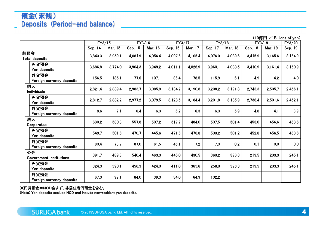# 預金(末残)Deposits (Period-end balance)

 $\frac{(10億円 / Billions of yen)  
FY3/19 FY3/20$ FY3/155 FY3/16 FY3/17 FY3/18 FY3/19 FY3/20 Sep. 144 | Mar. 15 | Sep. 15 | Mar. 16 | Sep. 16 | Mar. 17 | Sep. 17 | Mar. 18 | Sep. 18 | Mar. 19 | Sep. 19 総預金 Total deposits 3,843.3 3,959.1 4,081.9 4,056.4 4,097.6 4,105.4 4,076.0 4,089.6 3,415.9 3,165.6 3,164.9 円貨預金 Yen deposits 3,686.8 3,774.0 3,904.3 3,949.2 4,011.1 4,026.9 3,960.1 4,083.5 3,410.9 3,161.4 3,160.9 外貨預金 Foreign currency depositss 156.5 185.1 177.6 107.1 86.4 78.5 115.9 6.1 4.9 4.2 4.0 個人 Individuals 2,821.4 2,889.4 2,983.7 3,085.9 3,134.7 3,190.8 3,208.2 3,191.8 2,743.3 2,505.7 2,456.1 円貨預金 Yen deposits 2,812.7 2,882.2 2,977.2 3,079.5 3,128.5 3,184.4 3,201.8 3,185.9 2,738.4 2,501.6 2,452.1 外貨預金 Foreign currency deposits 8.6 7.1 6.4 6.3 6.2 6.3 6.3 5.9 4.8 4.1 3.9 法人 Corporates 630.2 580.3 557.8 507.2 517.7 484.0 507.5 501.4 453.0 456.6 463.6 円貨預金 Yen deposits 549.7 501.6 470.7 445.6 471.6 476.8 500.2 501.2 452.8 456.5 463.6 外貨預金 Foreign currencyv deposits 80.4 78.7 87.0 61.5 46.1 7.2 7.3 0.2 0.1 0.0 0.0 公金 Government institutions 391.7 489.3 540.4 463.3 445.0 430.5 360.2 396.3 219.5 203.3 245.1 円貨預金 Yen depositss 324.3 390.1 456.3 424.0 411.0 365.6 258.0 396.3 219.5 203.3 245.1<br>s 外貨預金 Foreignn currency deposits 67.3 99.1 84.0 39.3 34.0 64.9 102.2 <br>n currency deposits 67.3 99.1 84.0 39.3 34.0 64.9 102.2

### ※円貨預金=NCD含まず、非居住者円預金を含む。

(Note) Yen deposits exclude NCD and include non-resident yen deposits.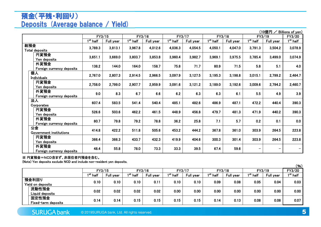# 預金(平残・利回り)Deposits (Average balance / Yield)

|                                   |                                 |           |                                 |           |                      |           |            |           |                          | (10億円 /                  | Billions of yen)  |
|-----------------------------------|---------------------------------|-----------|---------------------------------|-----------|----------------------|-----------|------------|-----------|--------------------------|--------------------------|-------------------|
|                                   | FY3/15                          |           | FY3/16                          |           |                      | FY3/17    |            | FY3/18    |                          | FY3/19                   | FY3/20            |
|                                   | $\overline{1}^{\text{st}}$ half | Full year | $\overline{1}^{\text{st}}$ half | Full year | 1 <sup>st</sup> half | Full year | $1st$ half | Full year | 1 <sup>st</sup> half     | Full year                | $1^{\rm st}$ half |
| 総預金<br><b>Total deposits</b>      | 3,789.3                         | 3,813.1   | 3,967.8                         | 4,012.6   | 4,036.3              | 4,054.5   | 4,050.1    | 4,047.0   | 3,791.3                  | 3,504.2                  | 3,078.9           |
| 円貨預金<br>Yen deposits              | 3,651.1                         | 3,669.0   | 3,803.7                         | 3,853.8   | 3,960.4              | 3,982.7   | 3,969.1    | 3,975.5   | 3,785.4                  | 3,499.0                  | 3,074.9           |
| 外貨預金<br>Foreign currency deposits | 138.2                           | 144.0     | 164.0                           | 158.7     | 75.8                 | 71.7      | 80.9       | 71.5      | 5.8                      | 5.1                      | 4.0               |
| 個人<br><b>Individuals</b>          | 2,767.0                         | 2,807.3   | 2,914.5                         | 2,966.5   | 3,097.9              | 3,127.5   | 3,195.3    | 3,198.8   | 3,015.1                  | 2,799.2                  | 2,464.7           |
| 円貨預金<br>Yen deposits              | 2,758.0                         | 2,799.0   | 2,907.7                         | 2,959.9   | 3,091.6              | 3,121.2   | 3,189.0    | 3,192.6   | 3,009.6                  | 2,794.2                  | 2,460.7           |
| 外貨預金<br>Foreign currency deposits | 9.0                             | 8.3       | 6.7                             | 6.6       | 6.2                  | 6.3       | 6.3        | 6.1       | 5.5                      | 4.9                      | 3.9               |
| 法人<br>Corporates                  | 607.4                           | 583.5     | 541.4                           | 540.4     | 485.1                | 482.6     | 486.9      | 487.1     | 472.2                    | 440.4                    | 390.3             |
| 円貨預金<br>Yen deposits              | 526.6                           | 503.6     | 462.2                           | 461.5     | 448.9                | 456.8     | 479.7      | 481.3     | 471.9                    | 440.2                    | 390.3             |
| 外貨預金<br>Foreign currency deposits | 80.7                            | 79.8      | 79.2                            | 78.8      | 36.2                 | 25.8      | 7.1        | 5.7       | 0.2                      | 0.1                      | 0.0               |
| 公金<br>Government institutions     | 414.8                           | 422.2     | 511.8                           | 505.6     | 453.2                | 444.2     | 367.8      | 361.0     | 303.9                    | 264.5                    | 223.8             |
| 円貨預金<br>Yen deposits              | 366.4                           | 366.3     | 433.7                           | 432.3     | 419.9                | 404.6     | 300.3      | 301.4     | 303.9                    | 264.5                    | 223.8             |
| 外貨預金<br>Foreign currency deposits | 48.4                            | 55.8      | 78.0                            | 73.3      | 33.3                 | 39.5      | 67.4       | 59.6      | $\overline{\phantom{m}}$ | $\overline{\phantom{m}}$ |                   |

### ※ 円貨預金=NCD含まず、非居住者円預金を含む。

(Note) Yen deposits exclude NCD and include non-resident yen deposits.

|                            |                              |                      |           |                      |           |                      |           |                      |           |                      |           | (96)                 |
|----------------------------|------------------------------|----------------------|-----------|----------------------|-----------|----------------------|-----------|----------------------|-----------|----------------------|-----------|----------------------|
|                            |                              | FY3/15               |           |                      | FY3/16    | FY3/17               |           | FY3/18               |           |                      | FY3/19    | FY3/20               |
|                            |                              | 1 <sup>st</sup> half | Full year | 1 <sup>st</sup> half | Full year | 1 <sup>st</sup> half | Full year | 1 <sup>st</sup> half | Full year | 1 <sup>st</sup> half | Full year | 1 <sup>st</sup> half |
| 預金利回り<br>Yield on deposits |                              | 0.10                 | 0.10      | 0.10                 | 0.11      | 0.10                 | 0.10      | 0.09                 | 0.08      | 0.05                 | 0.04      | 0.03                 |
|                            | 流動性預金<br>Liquid deposits     | 0.02                 | 0.02      | 0.02                 | 0.02      | 0.00                 | 0.00      | 0.00                 | 0.00      | 0.00                 | 0.00      | 0.00                 |
|                            | 固定性預金<br>Fixed-term deposits | 0.14                 | 0.14      | 0.15                 | 0.15      | 0.15                 | 0.15      | 0.14                 | 0.13      | 0.08                 | 0.08      | 0.07                 |

**SURUGA bank** © 2019SURUGA bank, Ltd. All rights reserved.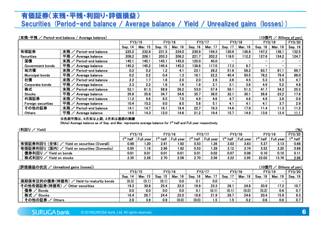# 有価証券(末残・平残・利回り・評価損益)Securities (Period-end balance / Average balance / Yield / Unrealized gains (losses))<br>.

| (末残・平残 /                  | Period-end balance / Average balance)                                                                                                                                                                                             |         |                   |         |         |         |         |         |         | (10億円   |                | Billions of yen) |
|---------------------------|-----------------------------------------------------------------------------------------------------------------------------------------------------------------------------------------------------------------------------------|---------|-------------------|---------|---------|---------|---------|---------|---------|---------|----------------|------------------|
|                           |                                                                                                                                                                                                                                   | FY3/15  |                   | FY3/16  |         | FY3/17  |         |         | FY3/18  | FY3/19  |                | FY3/20           |
|                           |                                                                                                                                                                                                                                   | Sep. 14 | Mar. 15           | Sep. 15 | Mar. 16 | Sep. 16 | Mar. 17 | Sep. 17 | Mar. 18 | Sep. 18 | <b>Mar. 19</b> | Sep. 19          |
| 有価証券                      | 末残 / Period-end balance                                                                                                                                                                                                           | 225.2   | 232.8             | 231.5   | 234.0   | 230.9   | 154.3   | 130.9   | 136.8   | 147.2   | 136.1          | 132.5            |
| <b>Securities</b>         | 平残 / Average balance                                                                                                                                                                                                              | 208.2   | 208.1             | 203.3   | 206.2   | 221.7   | 202.2   | 118.0   | 112.2   | 127.6   | 124.2          | 124.7            |
| 国債                        | 末残<br>Period-end balance                                                                                                                                                                                                          | 145.1   | 145.1             | 145.1   | 145.0   | 125.0   | 45.0    | -       |         |         |                |                  |
| Government bonds          | 平残<br>Average balance                                                                                                                                                                                                             | 145.2   | 145.2             | 145.4   | 145.2   | 138.8   | 117.0   | 17.3    | 8.7     |         |                |                  |
| 地方債                       | 末残 / Period-end balance                                                                                                                                                                                                           | 0.2     | 0.2               | 1.2     | 4.1     | 23.1    | 28.2    | 51.8    | 58.2    | 83.7    | 81.1           | 89.7             |
| <b>Municipal bonds</b>    | 平残/<br>Average balance                                                                                                                                                                                                            | 0.2     | 0.2               | 0.4     | 1.3     | 18.1    | 22.2    | 45.4    | 50.5    | 78.2    | 79.4           | 88.0             |
| 社債                        | 末残 / Period-end balance                                                                                                                                                                                                           | 2.2     | 1.7               | 1.6     | 2.0     | 2.0     | 2.6     | $3.6\,$ | 4.5     | 5.3     | 5.5            | 4.7              |
| Corporate bonds           | 平残 / Average balance                                                                                                                                                                                                              | 2.3     | 2.2               | 1.6     | 1.6     | 1.9     | 2.1     | 3.1     | 3.6     | 4.9     | 5.2            | 4.8              |
| 株式                        | 末残<br>Period-end balance                                                                                                                                                                                                          | 52.1    | 61.3              | 58.8    | 56.2    | 53.0    | 57.4    | 56.1    | 51.3    | 41.7    | 34.2           | 25.5             |
| <b>Stocks</b>             | 平残<br>Average balance                                                                                                                                                                                                             | 35.8    | 35.8              | 34.7    | 34.6    | 35.7    | 36.0    | 32.1    | 30.1    | 26.6    | 23.2           | 17.6             |
| 外国証券                      | 末残 / Period-end balance                                                                                                                                                                                                           | 11.2    | 9.6               | 8.5     | 7.0     | 4.9     | 4.6     | 4.7     | 4.6     | 4.9     | 3.8            | 0.9              |
| <b>Foreign securities</b> | 平残<br>Average balance                                                                                                                                                                                                             | 10.4    | 10.2 <sub>2</sub> | 9.0     | 8.5     | 5.8     | 5.1     | 4.1     | 4.1     | 4.1     | 3.7            | 2.9              |
| その他の証券                    | 末残 / Period-end balance                                                                                                                                                                                                           | 14.1    | 14.7              | 16.1    | 19.4    | 22.7    | 16.3    | 14.6    | 17.9    | 11.4    | 11.3           | 11.5             |
| Others                    | 平残 / Average balance                                                                                                                                                                                                              | 14.0    | 14.3              | 12.0    | 14.6    | 21.2    | 19.4    | 15.7    | 14.9    | 13.6    | 12.4           | 11.1             |
|                           | $\mathbf{v}$ , and the contract of the contract of the contract of the contract of the contract of the contract of the contract of the contract of the contract of the contract of the contract of the contract of the contract o |         |                   |         |         |         |         |         |         |         |                |                  |

### ※各期平残は、9月末は上期、3月末は通期の実績

(Note) Average balance as of Sep. and Mar. represents average balance for 1<sup>st</sup> half and Full year respectively.

| (利回り<br>Yield)                                    |                      |                  |                   |                  |                   |                  |                   |                  |                      |                  | (%)                  |
|---------------------------------------------------|----------------------|------------------|-------------------|------------------|-------------------|------------------|-------------------|------------------|----------------------|------------------|----------------------|
|                                                   |                      | FY3/15           |                   | FY3/16           |                   | FY3/17           |                   | FY3/18           |                      | FY3/19           | FY3/20               |
|                                                   | 1 <sup>st</sup> half | <b>Full year</b> | $1^{\rm st}$ half | <b>Full year</b> | $1^{\rm st}$ half | <b>Full year</b> | $1^{\rm st}$ half | <b>Full year</b> | 1 <sup>st</sup> half | <b>Full year</b> | 1 <sup>st</sup> half |
| (全体)<br>有価証券利回り<br>Yield on securities (Overall)  | 0.98                 | 1.20             | 2.91              | 1.92             | 0.53              | 1.26             | 3.03              | 3.63             | 5.37                 | 3.13             | 0.68                 |
| 有価証券利回り<br>(国内)<br>Yield on securities (Domestic) | 0.95                 | 1.18             | 2.96              | 1.92             | 0.53              | l.28             | 3.12              | 3.74             | 5.52                 | 3.20             | 0.69                 |
| 債券利回り<br>Yield on bonds                           | 0.01                 | 0.01             | 0.01              | 0.01             | 0.01              | 0.02             | 0.07              | 0.08             | 0.10                 | 0.10             | 0.11                 |
| 株式利回り<br>Yield on stocks                          | 2.35                 | 2.26             | 2.70              | 2.58             | 2.70              | 2.56             | 3.22              | 2.95             | 22.02                | 13.76            | 2.66                 |
|                                                   |                      |                  |                   |                  |                   |                  |                   |                  |                      |                  |                      |

### (評価損益の状況 / Unrealized gains (losses))

| (評価損益の状況 /<br>(10億円<br>Billions of yen)<br>Unrealized gains (losses)) |            |            |         |         |            |                |                          |                          |         |         |               |
|-----------------------------------------------------------------------|------------|------------|---------|---------|------------|----------------|--------------------------|--------------------------|---------|---------|---------------|
|                                                                       | FY3/15     |            |         | FY3/16  | FY3/17     |                | FY3/18                   |                          | FY3/19  |         | <b>FY3/20</b> |
|                                                                       | Sep.<br>14 | 15<br>Mar. | Sep. 15 | Mar. 16 | 16<br>Sep. | <b>Mar. 17</b> | Sep.                     | 18<br>Mar.               | Sep. 18 | Mar. 19 | Sep. 19       |
| 満期保有目的の債券(時価有)<br>Held-to-maturity bonds                              | (0.3)      | (0.1)      | (0.1)   | 0.0     | 0.1        | 0.0            | $\overline{\phantom{0}}$ | $\overline{\phantom{0}}$ |         | -       |               |
| その他有価証券(時価有)<br>Other securities                                      | 19.3       | 30.8       | 25.4    | 22.0    | 16.9       | 23.3           | 28.1                     | 24.8                     | 20.9    | 17.2    | 10.7          |
| 債券 / Bonds                                                            | 0.0        | 0.0        | 0.0     | 0.0     | 0.1        | (0.1)          | (0.1)                    | (0.0)                    | (0.2)   | 0.6     | 0.7           |
| 株式 / Stocks                                                           | 16.4       | 26.7       | 24.4    | 22.0    | 16.8       | 21.9           | 26.7                     | 24.6                     | 20.4    | 15.9    | 9.3           |
| その他の証券ノ<br><b>Others</b>                                              | 2.8        | 3.9        | 0.9     | (0.0)   | (0.0)      | 1.5            | 1.5                      | 0.2                      | 0.6     | 0.6     | 0.7           |
|                                                                       |            |            |         |         |            |                |                          |                          |         |         |               |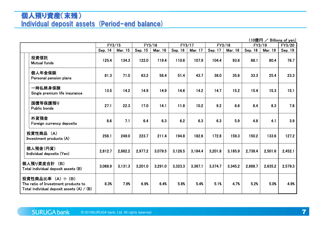# 個人預り資産(末残)Individual deposit assets (Period-end balance)

| $(10$ 億円 / Billions of yen) |  |  |  |  |  |
|-----------------------------|--|--|--|--|--|
|-----------------------------|--|--|--|--|--|

|                                                                                                         | (10億円 /<br>Billions of yen) |         |                  |         |         |         |         |         |         |         |         |
|---------------------------------------------------------------------------------------------------------|-----------------------------|---------|------------------|---------|---------|---------|---------|---------|---------|---------|---------|
|                                                                                                         | FY3/15                      |         | FY3/16<br>FY3/17 |         |         |         | FY3/18  |         | FY3/19  |         | FY3/20  |
|                                                                                                         | Sep. 14                     | Mar. 15 | Sep. 15          | Mar. 16 | Sep. 16 | Mar. 17 | Sep. 17 | Mar. 18 | Sep. 18 | Mar. 19 | Sep. 19 |
| 投資信託<br><b>Mutual funds</b>                                                                             | 125.4                       | 134.3   | 122.0            | 119.4   | 110.6   | 107.9   | 104.4   | 93.6    | 88.1    | 80.4    | 76.7    |
| 個人年金保険<br>Personal pension plans                                                                        | 81.3                        | 71.0    | 63.2             | 56.4    | 51.4    | 43.7    | 38.0    | 35.6    | 33.3    | 25.4    | 23.3    |
| 一時払終身保険<br>Single premium life insurance                                                                | 13.5                        | 14.2    | 14.9             | 14.9    | 14.6    | 14.2    | 14.7    | 15.2    | 15.4    | 15.3    | 15.1    |
| 国債等保護預り<br><b>Public bonds</b>                                                                          | 27.1                        | 22.3    | 17.0             | 14.1    | 11.8    | 10.2    | 9.2     | 8.8     | 8.4     | 8.3     | 7.8     |
| 外貨預金<br>Foreign currency deposits                                                                       | 8.6                         | 7.1     | 6.4              | 6.3     | 6.2     | 6.3     | 6.3     | 5.9     | 4.8     | 4.1     | 3.9     |
| 投資性商品 (A)<br>Investment products (A)                                                                    | 256.1                       | 249.0   | 223.7            | 211.4   | 194.8   | 182.6   | 172.8   | 159.3   | 150.2   | 133.6   | 127.2   |
| 個人預金(円貨)<br>Individual deposits (Yen)                                                                   | 2,812.7                     | 2,882.2 | 2,977.2          | 3.079.5 | 3.128.5 | 3.184.4 | 3,201.8 | 3.185.9 | 2.738.4 | 2,501.6 | 2,452.1 |
| 個人預り資産合計 (B)<br>Total individual deposit assets (B)                                                     | 3,068.9                     | 3,131.3 | 3,201.0          | 3,291.0 | 3,323.3 | 3,367.1 | 3,374.7 | 3,345.2 | 2,888.7 | 2,635.2 | 2,579.3 |
| 投資性商品比率 (A) ÷ (B)<br>The ratio of Investment products to<br>Total individual deposit assets $(A) / (B)$ | 8.3%                        | 7.9%    | 6.9%             | 6.4%    | 5.8%    | 5.4%    | 5.1%    | 4.7%    | 5.2%    | 5.0%    | 4.9%    |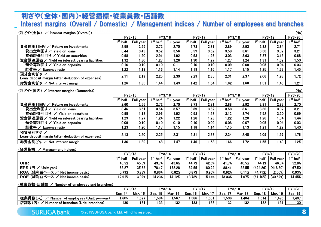### 利ざや(全体・国内)・経営指標・従業員数・店舗数Interest margins (Overall / Domestic) / Management indices / Number of employees and branches

### <u>(利ざや(全体) /</u>

| (利ざや(全体)<br>(96)<br>Interest margins (Overall))               |                   |                  |            |           |                      |           |                      |                  |            |                  |            |
|---------------------------------------------------------------|-------------------|------------------|------------|-----------|----------------------|-----------|----------------------|------------------|------------|------------------|------------|
|                                                               |                   | FY3/15           | FY3/16     |           | FY3/17               |           | FY3/18               |                  | FY3/19     |                  | FY3/20     |
|                                                               | $1^{\rm st}$ half | <b>Full year</b> | $1st$ half | Full year | 1 <sup>st</sup> half | Full year | 1 <sup>st</sup> half | <b>Full year</b> | $1st$ half | <b>Full year</b> | $1st$ half |
| 資金運用利回り<br>Return on investments                              | 2.59              | 2.65             | 2.72       | 2.70      | 2.73                 | 2.81      | 2.89                 | 2.93             | 2.82       | 2.84             | 2.71       |
| 貸出金利回り<br><b>Yield on loans</b>                               | 3.44              | 3.49             | 3.52       | 3.56      | 3.59                 | 3.62      | 3.58                 | 3.61             | 3.36       | 3.32             | 3.21       |
| 有価証券利回り<br>Yield on securities                                | 0.98              | 1.20             | 2.91       | 1.92      | 0.53                 | 1.26      | 3.03                 | 3.63             | 5.37       | 3.13             | 0.68       |
| 資金調達原価 / Yield on interest bearing liabilities                | 1.32              | 1.30             | 1.27       | 1.26      | 1.30                 | 1.27      | 1.27                 | 1.24             | 1.31       | 1.39             | 1.50       |
| 預金等利回り / Yield on deposits                                    | 0.10              | 0.10             | 0.10       | 0.11      | 0.10                 | 0.10      | 0.09                 | 0.08             | 0.05       | 0.04             | 0.03       |
| 経費率 / Expense ratio                                           | 1.22              | 1.19             | 1.16       | 1.14      | 1.19                 | 1.16      | 1.17                 | 1.15             | 1.25       | 1.33             | 1.45       |
| 預貸金利ざや /<br>Loan-deposit margin (after deduction of expenses) | 2.11              | 2.19             | 2.25       | 2.30      | 2.29                 | 2.35      | 2.31                 | 2.37             | 2.06       | 1.93             | 1.72       |
| 総資金利ざや / Net interest margin                                  | l.26              | 1.35             | 1.44       | 1.43      | 1.42                 | .54       | 1.62                 | 1.68             | 1.51       | 1.45             | 1.21       |
|                                                               |                   |                  |            |           |                      |           |                      |                  |            |                  |            |

### <u>(利ざや(国内) /</u>

| (利ざや(国内) / Interest margins (Domestic))<br>(96)               |                  |           |            |           |                   |                  |            |                  |            |           |            |
|---------------------------------------------------------------|------------------|-----------|------------|-----------|-------------------|------------------|------------|------------------|------------|-----------|------------|
|                                                               |                  | FY3/15    | FY3/16     |           | FY3/17            |                  | FY3/18     |                  | FY3/19     |           | FY3/20     |
|                                                               | $1st$ half       | Full year | $1st$ half | Full year | $1^{\rm st}$ half | <b>Full year</b> | $1st$ half | <b>Full year</b> | $1st$ half | Full year | $1st$ half |
| 資金運用利回り<br>Return on investments                              | 2.60             | 2.66      | 2.72       | 2.70      | 2.73              | 2.81             | 2.88       | 2.92             | 2.81       | 2.83      | 2.70       |
| 貸出金利回りノ<br>Yield on loans                                     | 3.46             | 3.51      | 3.54       | 3.57      | 3.59              | 3.62             | 3.58       | 3.61             | 3.36       | 3.32      | 3.21       |
| 有価証券利回り<br>Yield on securities                                | 0.95             | 1.18      | 2.96       | 1.92      | 0.53              | 1.28             | 3.12       | 3.74             | 5.52       | 3.20      | 0.69       |
| 資金調達原価 /<br>Yield on interest bearing liabilities             | $\overline{29}$  | 1.27      | 24. ا      | 1.22      | 26. ا             | 1.23             | l.22       | 1.20             | 1.26       | 1.34      | 1.44       |
| 預金等利回り / Yield on deposits                                    | 0.09             | 0.10      | 0.10       | 0.10      | 0.10              | 0.09             | 0.08       | 0.07             | 0.05       | 0.04      | 0.03       |
| 経費率 / Expense ratio                                           | .23              | 1.20      | 1.17       | 1.15      | 1.18              | 1.14             | 1.15       | 1.13             | 1.21       | 1.29      | 1.40       |
| 預貸金利ざや /<br>Loan-deposit margin (after deduction of expenses) | 2.13             | 2.20      | 2.25       | 2.31      | 2.31              | 2.38             | 2.34       | 2.40             | 2.09       | 1.97      | 1.76       |
| 総資金利ざや / Net interest margin                                  | .30 <sub>1</sub> | 1.39      | 1.48       | 1.47      | 1.46              | 1.58             | .66        | 1.72             | 1.55       | 1.49      | 1.25       |
|                                                               |                  |           |            |           |                   |                  |            |                  |            |           |            |

### <u>(経営指標 / Management indices)</u><br>-

|                                 | FY3/15     |                  | FY3/16               |                  | FY3/17            |           | FY3/18               |                  | FY3/19     |                  | <b>FY3/20</b> |
|---------------------------------|------------|------------------|----------------------|------------------|-------------------|-----------|----------------------|------------------|------------|------------------|---------------|
|                                 | $1st$ half | <b>Full year</b> | 1 <sup>st</sup> half | <b>Full year</b> | $1^{\rm st}$ half | Full year | 1 <sup>st</sup> half | <b>Full year</b> | $1st$ half | <b>Full year</b> | $1st$ half    |
| <b>OHR</b>                      | 48.5%      | 45.8%            | 43.7%                | 43.6%            | 44.7%             | 42.6%     | 41.7%                | 40.5%            | 44.1%      | 46.8%            | 52.8%         |
| EPS ( $H$ /<br>(Unit: yen)      | 63.27      | 135.63           | 78.17                | 152.28           | 82.55             | 180.22    | 88.41                | 22.55            | (424.26)   | (418.80)         | 67.50         |
| ROA (純利益ベース / Net income basis) | 0.73%      | 0.78%            | 0.86%                | 0.82%            | 0.87%             | 0.95%     | 0.92%                | 0.11%            | (4.71%)    | (2.50%)          | 0.93%         |
| ROE (純利益ベース / Net income basis) | 12.91%     | 13.92%           | 14.23%               | 14.12%           | 13.78%            | 15.14%    | 13.03%               | .67%             | (61.10%)   | (30.62%)         | 14.45%        |
|                                 |            |                  |                      |                  |                   |           |                      |                  |            |                  |               |

### <u>(従業員数・店舗数 / Number of employees and branches)</u>

|                                               | FY3/15  |            | FY3/16     |         | FY3/17     |        | FY3/18         |              | FY3/19     |         | FY3/20  |
|-----------------------------------------------|---------|------------|------------|---------|------------|--------|----------------|--------------|------------|---------|---------|
|                                               | Sep. 14 | 15<br>Mar. | 15<br>Sep. | Mar. 16 | 16<br>Sep. | Mar. 1 | - -<br>Sep. 1. | Mar.<br>. 18 | 18<br>Sep. | Mar. 19 | Sep. 19 |
| 従業員数(<br>Number of employees (Unit: persons)  | .605    | .577       | .584       | .567    | .566       | .531   | .536           | ,484         | 1,514      | .495    | 1,497   |
| 店舗数(店)<br>Number of branches (Unit: branches) | 130     | 131        | 133        | 132     | 133        | 133    | 132            | 132          | 132        | 131     | 130     |
|                                               |         |            |            |         |            |        |                |              |            |         |         |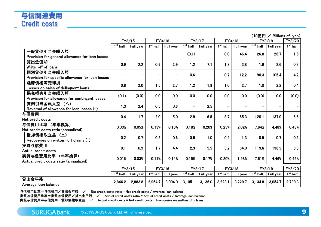| (10億円 / Billions of yen) |                                                  |            |                          |            |           |                                 |                 |                      |           |            |               |            |
|--------------------------|--------------------------------------------------|------------|--------------------------|------------|-----------|---------------------------------|-----------------|----------------------|-----------|------------|---------------|------------|
|                          |                                                  |            | FY3/15                   | FY3/16     |           |                                 | FY3/17          |                      | FY3/18    | FY3/19     | <b>FY3/20</b> |            |
|                          |                                                  | $1st$ half | Full year                | $1st$ half | Full year | $\overline{1}^{\text{st}}$ half | Full year       | $1st$ half           | Full year | $1st$ half | Full year     | $1st$ half |
|                          | 一般貸倒引当金繰入額                                       | -          | -                        |            |           | (0.1)                           | -               | 0.0                  | 46.4      | 26.8       | 26.7          | 1.6        |
|                          | Provision for general allowance for loan losses  |            |                          |            |           |                                 |                 |                      |           |            |               |            |
|                          | 貸出金償却                                            | 0.9        | 2.2                      | 0.9        | 2.9       | 1.2                             | 7.1             | 1.8                  | 3.8       | 1.9        | 2.6           | 0.3        |
|                          | Write-off of loans                               |            |                          |            |           |                                 |                 |                      |           |            |               |            |
|                          | 個別貸倒引当金繰入額                                       | Ξ.         | $\overline{\phantom{0}}$ | -          |           | 0.6                             | $\qquad \qquad$ | 0.7                  | 12.2      | 90.3       | 105.4         | 4.2        |
|                          | Provision for specific allowance for loan losses |            |                          |            |           |                                 |                 |                      |           |            |               |            |
|                          | 延滞債権等売却損                                         | 0.8        | 2.0                      | 1.5        | 2.7       | 1.2                             | 1.9             | 1.0                  | 2.7       | 1.0        | 2.2           | 0.4        |
|                          | Losses on sales of delinguent loans              |            |                          |            |           |                                 |                 |                      |           |            |               |            |
|                          | 偶発損失引当金繰入額                                       | (0.1)      | (0.0)                    | 0.0        | 0.0       | 0.0                             | 0.0             | 0.0                  | 0.0       | (0.0)      | 0.0           | (0.0)      |
|                          | Provision for allowance for contingent losses    |            |                          |            |           |                                 |                 |                      |           |            |               |            |
|                          | 貸倒引当金戻入益 (△)                                     | 1.3        | 2.4                      | 0.5        | 0.6       | -                               | 2.5             | -                    | -         |            |               |            |
|                          | Reversal of allowance for loan losses $(-)$      |            |                          |            |           |                                 |                 |                      |           |            |               |            |
|                          | 与信費用                                             | 0.4        | 1.7                      | 2.0        | 5.0       | 2.9                             | 6.5             | 3.7                  | 65.3      | 120.1      | 137.0         | 6.6        |
|                          | Net credit costs                                 |            |                          |            |           |                                 |                 |                      |           |            |               |            |
|                          | 与信費用比率 (年率換算)                                    | 0.03%      | 0.05%                    | 0.13%      | 0.16%     | 0.18%                           | 0.20%           | 0.23%                | 2.02%     | 7.64%      | 4.48%         | 0.48%      |
|                          | Net credit costs ratio (annualized)              |            |                          |            |           |                                 |                 |                      |           |            |               |            |
|                          | 償却債権取立益 (△)                                      | 0.2        | 0.7                      | 0.2        | 0.6       | 0.5                             | 1.0             | 0.4                  | 1.3       | 0.5        | 0.7           | 0.2        |
|                          | Recoveries on written-off claims (-)             |            |                          |            |           |                                 |                 |                      |           |            |               |            |
|                          | 実質与信費用                                           | 0.1        | 0.9                      | 1.7        | 4.4       | 2.3                             | 5.5             | 3.2                  | 64.0      | 119.6      | 136.3         | 6.3        |
|                          | Actual credit costs                              |            |                          |            |           |                                 |                 |                      |           |            |               |            |
|                          | 実質与信費用比率 (年率換算)                                  | 0.01%      | 0.03%                    | 0.11%      | 0.14%     | 0.15%                           | 0.17%           | 0.20%                | 1.98%     | 7.61%      | 4.46%         | 0.46%      |
|                          | Actual credit costs ratio (annualized)           |            |                          |            |           |                                 |                 |                      |           |            |               |            |
|                          |                                                  |            | FY3/15                   | FY3/16     |           |                                 | FY3/17          |                      | FY3/18    | FY3/19     |               | FY3/20     |
|                          |                                                  | $1st$ half | Full year                | $1st$ half | Full year | $1st$ half                      | Full year       | 1 <sup>st</sup> half | Full year | $1st$ half | Full year     | $1st$ half |
|                          | 貸出金平残                                            |            |                          |            |           |                                 |                 |                      |           |            |               |            |
|                          | Average loan balance                             | 2,846.2    | 2,883.8                  | 2,964.7    | 3,004.0   | 3,105.1                         | 3,136.0         | 3,223.1              | 3,229.7   | 3,134.8    | 3,054.7       | 2,739.3    |
|                          |                                                  |            |                          |            |           |                                 |                 |                      |           |            |               |            |

与信費用比率=与信費用/貸出金平残 / Net credit costs ratio = Net credit costs / Average loan balance 与信費用比率=与信費用/貸出金平残 / Net credit costs ratio = Net credit costs/Average loan balance<br>実質与信費用比率=実質与信費用/貸出金平残 / Actual credit costs ratio = Actual credit costs/Averag

残 / Actual credit costs ratio = Actual credit costs / Average loan balance<br>/ Actual credit costs = Net credit costs = Pecoveries on written-off claims

実質与信費用=与信費用一償却債権取立益 / Actual credit costs = Net credit costs − Recoveries on written−off claims<br>.

 $(100 - 100)$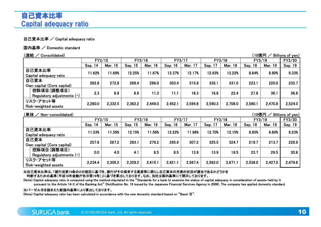## 自己資本比率 / Capital adequacy ratio

## 国内基準 / Domestic standard<br>-

| (連結 /<br>(10億円<br>Billions of yen)<br>Consolidated) |         |                |         |         |         |         |         |                |         |                |         |  |  |
|-----------------------------------------------------|---------|----------------|---------|---------|---------|---------|---------|----------------|---------|----------------|---------|--|--|
|                                                     |         | FY3/15         | FY3/16  |         | FY3/17  |         | FY3/18  |                | FY3/19  |                | FY3/20  |  |  |
|                                                     | Sep. 14 | <b>Mar. 15</b> | Sep. 15 | Mar. 16 | Sep. 16 | Mar. 17 | Sep. 17 | <b>Mar. 18</b> | Sep. 18 | <b>Mar. 19</b> | Sep. 19 |  |  |
| 自己資本比率                                              | 11.62%  | 11.69%         | 12.25%  | 11.67%  | 12.37%  | 12.17%  | 12.93%  | 12.22%         | 8.64%   | 8.90%          | 9.33%   |  |  |
| Capital adequacy ratio                              |         |                |         |         |         |         |         |                |         |                |         |  |  |
| 自己資本                                                | 262.6   | 272.8          | 289.4   | 286.0   | 303.4   | 315.8   | 335.1   | 331.0          | 223.1   | 220.0          | 235.7   |  |  |
| Own capital (Core capital)                          |         |                |         |         |         |         |         |                |         |                |         |  |  |
| 控除項目(調整項目)                                          | 2.3     | 6.9            | 6.9     | 11.3    | 11.1    | 16.3    | 16.6    | 22.4           | 27.8    | 36.1           | 36.8    |  |  |
| Regulatory adjustments $(-)$                        |         |                |         |         |         |         |         |                |         |                |         |  |  |
| リスク・アセット等                                           |         |                |         |         |         |         |         |                |         |                |         |  |  |
| Risk-weighted assets                                | 2,260.0 | 2,332.5        | 2,362.2 | 2,449.0 | 2,452.1 | 2,594.6 | 2,590.3 | 2.708.0        | 2,580.1 | 2,470.8        | 2,524.0 |  |  |

### (単体 / Non-consolidated)

| (単体 /<br>Non-consolidated)   |         |                |            |         |         |         |         |                | (10億円   |                | Billions of yen) |
|------------------------------|---------|----------------|------------|---------|---------|---------|---------|----------------|---------|----------------|------------------|
|                              | FY3/15  |                | FY3/16     |         | FY3/17  |         | FY3/18  |                | FY3/19  |                | FY3/20           |
|                              | Sep. 14 | <b>Mar. 15</b> | 15<br>Sep. | Mar. 16 | Sep. 16 | Mar. 17 | Sep. 17 | <b>Mar. 18</b> | Sep. 18 | <b>Mar. 19</b> | Sep. 19          |
| 自己資本比率                       | 11.53%  | 11.59%         | 12.15%     | 11.56%  | 12.22%  | 11.96%  | 12.70%  | 12.15%         | 8.65%   | 8.80%          | 9.23%            |
| Capital adequacy ratio       |         |                |            |         |         |         |         |                |         |                |                  |
| 自己資本                         | 257.6   | 267.2          | 283.1      | 279.2   | 295.9   | 307.2   | 325.5   | 324.7          | 219.7   | 213.7          | 228.9            |
| Own capital (Core capital)   |         |                |            |         |         |         |         |                |         |                |                  |
| 控除項目(調整項目)                   | 0.0     | 4.0            | 4.1        | 8.5     | 8.5     | 13.9    | 13.9    | 18.5           | 23.7    | 29.5           | 30.8             |
| Regulatory adjustments $(-)$ |         |                |            |         |         |         |         |                |         |                |                  |
| リスク・アセット等                    | 2,234.4 | 2,305.2        | 2,329.2    | 2,415.1 | 2,421.1 | 2,567.4 | 2,562.0 | 2,671.1        | 2,538.0 | 2,427.0        | 2,479.6          |
| Risk-weighted assets         |         |                |            |         |         |         |         |                |         |                |                  |

※自己資本比率は、「銀行法第14条の2の規定に基づき、銀行がその保有する資産等に照らし自己資本の充実の状況が適当であるかどうかを判断するための基準(平成18年金融庁告示第19号)」に基づき算出しております。なお、当社は国内基準にて開示しております。

 (Note) Capital adequacy ratio is computed using the method stipulated in the "Standards for a bank to examine the status of capital adequacy in consideration of assets held by it pursuant to the Article 14-2 of the Banking Act" (Notification No. 19 issued by the Japanese Financial Services Agency in 2006). The company has applied domestic standard.

### ※バーゼルⅢを踏まえた新国内基準により算出しております。

(Note) Capital adequacy ratio has been calculated in accordance with the new domestic standard based on "Basel  ${\rm I\!I\!I}$ ".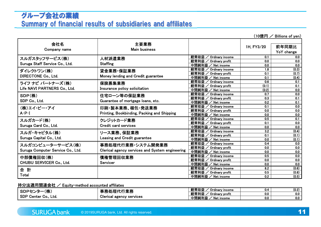# グループ会社の業績Summary of financial results of subsidiaries and affiliates

(10億円  $\angle$  Billions of yen) 会社名 Company name主要業務 Main businesss 1H, FY3/20 前年同期比<br> YoY change  $\frac{YoY}{0.0}$ スルガスタッフサービス(株) Suruga Staff Service Co., Ltd. 人材派遣業務**Staffing** 経常収益 / Ordinary income 0.1 0.0<br>経営利益 / Ordinary profit 0.0 0.0 経常利益 / Ordinary profit 0.0 0.0<br>中間純利益 / Net income 0.0 0.0 中間純利益 / Net income 0.0 0.0<br>経営収益 / Ordinany income 1.8 (0.3) ダイレクトワン(株) DIRECTONE Co., Ltd.貸金業務・保証業務 Money lending and Credit guarantee経常収益 / Ordinary income 1.8 (0.3)<br>経営利益 / Ordinary profit 0.1 (0.7) 経常利益 / Ordinary profit 0.1 (0.7)<br>中間純利益 / Net income 0.1 (0.4) 中間純利益 / Net income 0.1 (0.4)<br>経営収益 / Ordinany income 0.6 0.1 ライフ ナビ パートナーズ(株)<br>Life NAV/LDAPTNEPS Co. Li Life NAVI PARTNERS Co., Ltd. 保険募集業務 Insurance policy solicitation経常収益 / Ordinary income 0.6 0.1<br>経営利益 / Ordinary profit (0.1) 0.1 経常利益 / Ordinary profit (0.1) 0.1<br>中間純利益 / Net income (0.2) 0.0 中間純利益 / Net income (0.2) 0.0<br>経営収益 / Ordinary income 0.7 0.0 SDP(株) SDP Co., Ltd. 住宅ローン等の保証業務 Guarantee of mortgage loans, etc.経常収益 / Ordinary income 0.7 0.0<br>経営利益 / Ordinary profit 0.3 0.1 経常利益 / Ordinary profit 0.3 0.1 中間純利益 / Net income 0.2 0.1<br>経営収益 / Ordinary income 0.1 0.0 (株)エイ・ピー・アイA・P・I印刷・製本業務、梱包・発送業務 Printing, Bookbinding, Packing and Shipping経常収益 / Ordinary income 0.1 0.0<br>経営利益 / Ordinary profit 0.0 0.0 経常利益 / Ordinary profit 0.0 0.0<br>中間純利益 / Net income 0.0 0.0 中間純利益 / Net income 中間純利益 / Net income 0.0 0.0<br>経常収益 / Ordinary income 0.5 0.1<br>経営利益 / Ordinary profit 0.1 0.0 スルガカード(株) Suruga Card Co., Ltd.クレジットカード業務 Credit card services経常利益 / Ordinary profit 0.1 0.0<br>中間純刮益 / Net income 0.0 0.0 中間純利益 / Net income 中間純利益 / Net income 0.0 0.0<br>経常収益 / Ordinary income 3.2 (0.4)<br>経営利益 / Ordinary profit 0.1 (0.1) スルガ・キャピタル(株) Suruga Capital Co., Ltd.リース業務、保証業務 Leasing and Credit guarantee経常利益 / Ordinary profit 0.1 (0.1)<br>中間純利益 / Net income 0.0 (0.1) 中間純利益 / Net income 0.0 (0.1)<br>経営収益 / Ordinany income 0.4 0.0 スルガコンピューターサービス(株) Suruga Computer Service Co., Ltd.事務処理代行業務・システム開発業務 Clerical agency services and System engineering経常収益 / Ordinary income 0.4 0.0<br>経営利益 / Ordinary profit 0.0 0.0 経常利益 / Ordinary profit 0.0 0.0<br>中間純利益 / Net income 0.0 0.0 中間純利益 / Net income 0.0 0.0<br>経営収益 / Ordinary income 0.5 0.0 中部債権回収(株) CHUBU SERVICER Co., Ltd. 債権管理回収業務Servicer経常収益 / Ordinary income 0.5 0.0<br>経営利益 / Ordinary profit 0.0 0.0 経常利益 / Ordinary profit 0.0 0.0<br>中間純刮苎 / Net income 0.0 0.0 中間純利益 / Net income 0.0 0.0<br>経営収益 / Ordinany income 8.2 (0.6) 合 計<br>Total Total経常収益 / Ordinary income 8.2 (0.6)<br>経営利益 / Ordinary profit 0.5 (0.8) 経常利益 / Ordinary profit 0.5 (0.8)<br>中間純利益 / Net income 0.2 (0.5) 中間純利益 / Net income 0.2 (0.5)

## 持分法適用関連会社 / Equity-method accounted affiliates

| $(1 +$<br>SDPセ'<br>, , , ,                 | 田牟仁丵致<br>□ 爭務処埋f\,              | 経常収益<br>Ordinary income | 0.4 | (0.2) |
|--------------------------------------------|---------------------------------|-------------------------|-----|-------|
| . Т⁄Г•                                     | 未伪                              | 経常利益<br>Ordinary profit | 0.0 | 0.0   |
| , SDP C<br>′ enterذ<br>Ltd.<br><b>Co.,</b> | <b>Clerical agency services</b> | 中間純利益<br>Net income     | 0.0 | 0.0   |
|                                            |                                 |                         |     |       |